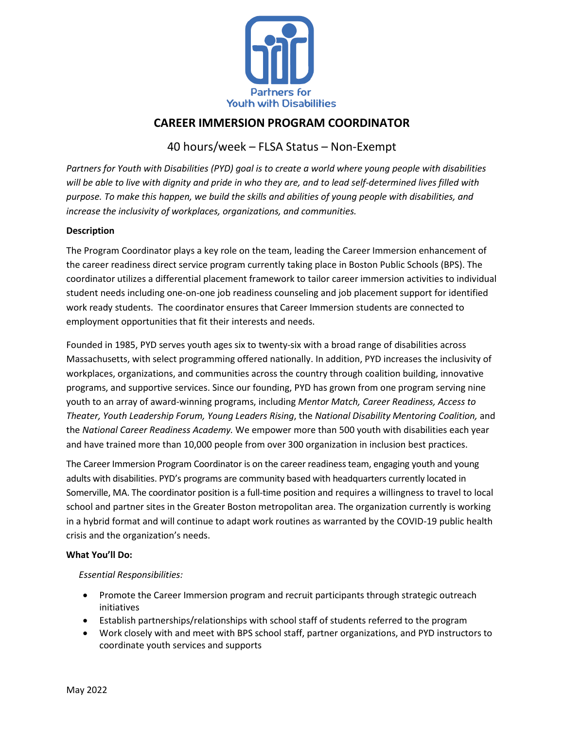

# **CAREER IMMERSION PROGRAM COORDINATOR**

## 40 hours/week – FLSA Status – Non-Exempt

*Partners for Youth with Disabilities (PYD) goal is to create a world where young people with disabilities will be able to live with dignity and pride in who they are, and to lead self-determined lives filled with purpose. To make this happen, we build the skills and abilities of young people with disabilities, and increase the inclusivity of workplaces, organizations, and communities.*

### **Description**

The Program Coordinator plays a key role on the team, leading the Career Immersion enhancement of the career readiness direct service program currently taking place in Boston Public Schools (BPS). The coordinator utilizes a differential placement framework to tailor career immersion activities to individual student needs including one-on-one job readiness counseling and job placement support for identified work ready students. The coordinator ensures that Career Immersion students are connected to employment opportunities that fit their interests and needs.

Founded in 1985, PYD serves youth ages six to twenty-six with a broad range of disabilities across Massachusetts, with select programming offered nationally. In addition, PYD increases the inclusivity of workplaces, organizations, and communities across the country through coalition building, innovative programs, and supportive services. Since our founding, PYD has grown from one program serving nine youth to an array of award-winning programs, including *Mentor Match, Career Readiness, Access to Theater, Youth Leadership Forum, Young Leaders Rising*, the *National Disability Mentoring Coalition,* and the *National Career Readiness Academy.* We empower more than 500 youth with disabilities each year and have trained more than 10,000 people from over 300 organization in inclusion best practices.

The Career Immersion Program Coordinator is on the career readiness team, engaging youth and young adults with disabilities. PYD's programs are community based with headquarters currently located in Somerville, MA. The coordinator position is a full-time position and requires a willingness to travel to local school and partner sites in the Greater Boston metropolitan area. The organization currently is working in a hybrid format and will continue to adapt work routines as warranted by the COVID-19 public health crisis and the organization's needs.

### **What You'll Do:**

### *Essential Responsibilities:*

- Promote the Career Immersion program and recruit participants through strategic outreach initiatives
- Establish partnerships/relationships with school staff of students referred to the program
- Work closely with and meet with BPS school staff, partner organizations, and PYD instructors to coordinate youth services and supports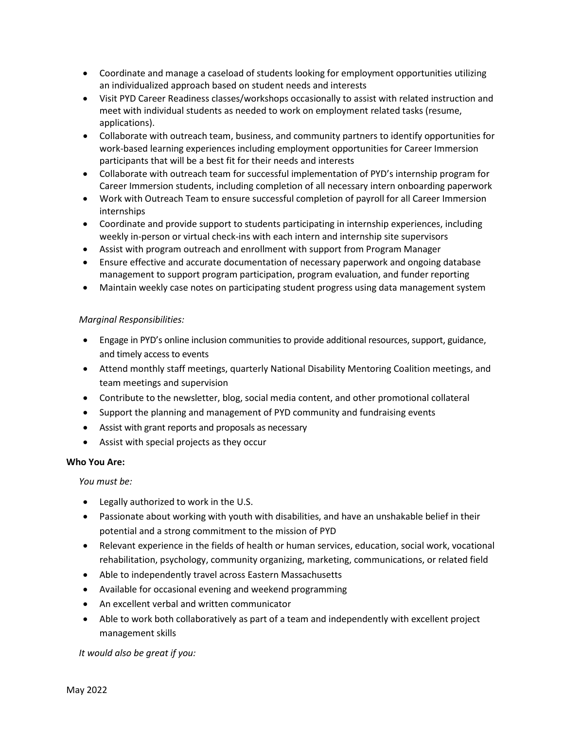- Coordinate and manage a caseload of students looking for employment opportunities utilizing an individualized approach based on student needs and interests
- Visit PYD Career Readiness classes/workshops occasionally to assist with related instruction and meet with individual students as needed to work on employment related tasks (resume, applications).
- Collaborate with outreach team, business, and community partners to identify opportunities for work-based learning experiences including employment opportunities for Career Immersion participants that will be a best fit for their needs and interests
- Collaborate with outreach team for successful implementation of PYD's internship program for Career Immersion students, including completion of all necessary intern onboarding paperwork
- Work with Outreach Team to ensure successful completion of payroll for all Career Immersion internships
- Coordinate and provide support to students participating in internship experiences, including weekly in-person or virtual check-ins with each intern and internship site supervisors
- Assist with program outreach and enrollment with support from Program Manager
- Ensure effective and accurate documentation of necessary paperwork and ongoing database management to support program participation, program evaluation, and funder reporting
- Maintain weekly case notes on participating student progress using data management system

### *Marginal Responsibilities:*

- Engage in PYD's online inclusion communities to provide additional resources, support, guidance, and timely access to events
- Attend monthly staff meetings, quarterly National Disability Mentoring Coalition meetings, and team meetings and supervision
- Contribute to the newsletter, blog, social media content, and other promotional collateral
- Support the planning and management of PYD community and fundraising events
- Assist with grant reports and proposals as necessary
- Assist with special projects as they occur

### **Who You Are:**

*You must be:*

- Legally authorized to work in the U.S.
- Passionate about working with youth with disabilities, and have an unshakable belief in their potential and a strong commitment to the mission of PYD
- Relevant experience in the fields of health or human services, education, social work, vocational rehabilitation, psychology, community organizing, marketing, communications, or related field
- Able to independently travel across Eastern Massachusetts
- Available for occasional evening and weekend programming
- An excellent verbal and written communicator
- Able to work both collaboratively as part of a team and independently with excellent project management skills

*It would also be great if you:*